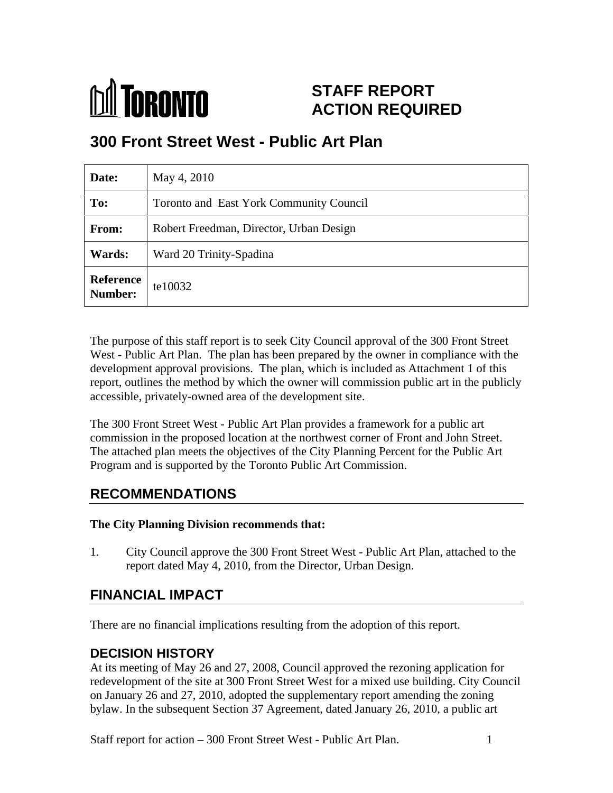

# **STAFF REPORT ACTION REQUIRED**

# **300 Front Street West - Public Art Plan**

| Date:                                           | May 4, 2010                             |
|-------------------------------------------------|-----------------------------------------|
| To:                                             | Toronto and East York Community Council |
| From:                                           | Robert Freedman, Director, Urban Design |
| <b>Wards:</b>                                   | Ward 20 Trinity-Spadina                 |
| Reference $ \text{tel}0032} $<br><b>Number:</b> |                                         |

The purpose of this staff report is to seek City Council approval of the 300 Front Street West - Public Art Plan. The plan has been prepared by the owner in compliance with the development approval provisions. The plan, which is included as Attachment 1 of this report, outlines the method by which the owner will commission public art in the publicly accessible, privately-owned area of the development site.

The 300 Front Street West - Public Art Plan provides a framework for a public art commission in the proposed location at the northwest corner of Front and John Street. The attached plan meets the objectives of the City Planning Percent for the Public Art Program and is supported by the Toronto Public Art Commission.

## **RECOMMENDATIONS**

#### **The City Planning Division recommends that:**

1. City Council approve the 300 Front Street West - Public Art Plan, attached to the report dated May 4, 2010, from the Director, Urban Design.

## **FINANCIAL IMPACT**

There are no financial implications resulting from the adoption of this report.

#### **DECISION HISTORY**

At its meeting of May 26 and 27, 2008, Council approved the rezoning application for redevelopment of the site at 300 Front Street West for a mixed use building. City Council on January 26 and 27, 2010, adopted the supplementary report amending the zoning bylaw. In the subsequent Section 37 Agreement, dated January 26, 2010, a public art

Staff report for action – 300 Front Street West - Public Art Plan. 1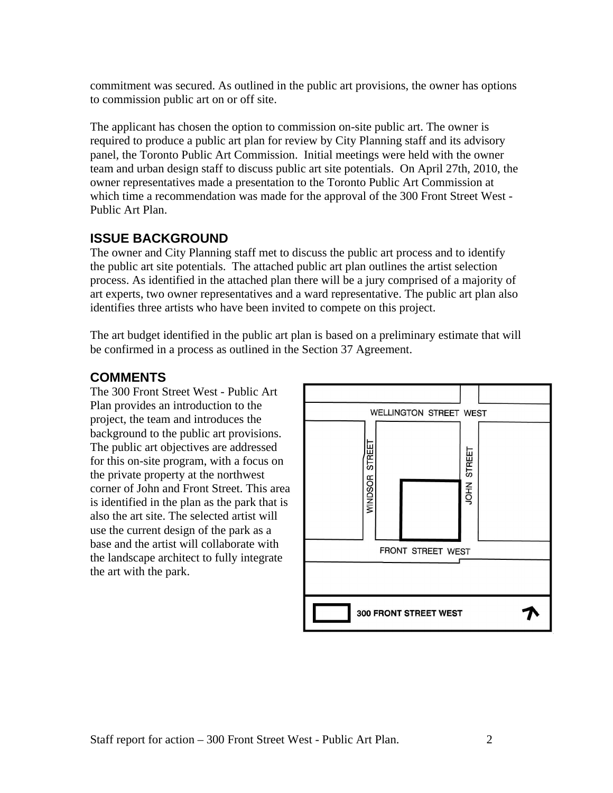commitment was secured. As outlined in the public art provisions, the owner has options to commission public art on or off site.<br>The applicant has chosen the option to commission on-site public art. The owner is

required to produce a public art plan for review by City Planning staff and its advisory panel, the Toronto Public Art Commission. Initial meetings were held with the owner team and urban design staff to discuss public art site potentials. On April 27th, 2010, the owner representatives made a presentation to the Toronto Public Art Commission at which time a recommendation was made for the approval of the 300 Front Street West - Public Art Plan.

#### **ISSUE BACKGROUND**

The owner and City Planning staff met to discuss the public art process and to identify the public art site potentials. The attached public art plan outlines the artist selection process. As identified in the attached plan there will be a jury comprised of a majority of art experts, two owner representatives and a ward representative. The public art plan also identifies three artists who have been invited to compete on this project.

The art budget identified in the public art plan is based on a preliminary estimate that will be confirmed in a process as outlined in the Section 37 Agreement.

The 300 Front Street West - Public Art Plan provides an introduction to the WELLINGTON STREET WEST project, the team and introduces the background to the public art provisions. The public art objectives are addressed<br>for this on-site program, with a focus on<br>the private property at the northwest<br> $\begin{bmatrix} \Box & \Box \\ \Box & \Box \\ \Box & \Box \\ \Box & \Box \end{bmatrix}$ for this on-site program, with a focus on the private property at the northwest<br>
corner of John and Front Street. This area<br>
is identified in the plan as the park that is<br>  $\begin{bmatrix} 6 & 6 \\ 6 & 6 \\ 8 & 6 \\ 2 & 6 \\ \hline \overline{\overline{5}} \end{bmatrix}$ corner of John and Front Street. This area is identified in the plan as the park that is also the art site. The selected artist will use the current design of the park as a base and the artist will collaborate with FRONT STREET WEST the landscape architect to fully integrate the art with the park.